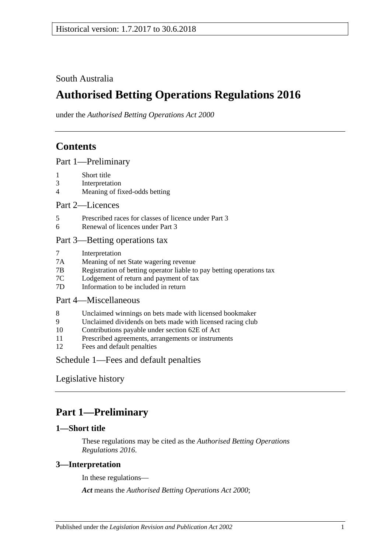South Australia

# **Authorised Betting Operations Regulations 2016**

under the *Authorised Betting Operations Act 2000*

## **Contents**

[Part 1—Preliminary](#page-0-0)

- 1 [Short title](#page-0-1)
- 3 [Interpretation](#page-0-2)
- 4 [Meaning of fixed-odds betting](#page-1-0)

Part [2—Licences](#page-2-0)

- 5 [Prescribed races for classes of licence under Part](#page-2-1) 3
- 6 [Renewal of licences under Part](#page-2-2) 3

### [Part 3—Betting operations tax](#page-2-3)

- 7 [Interpretation](#page-2-4)
- 7A [Meaning of net State wagering revenue](#page-2-5)
- 7B [Registration of betting operator liable to pay betting operations tax](#page-2-6)
- 7C [Lodgement of return and payment of tax](#page-3-0)
- 7D [Information to be included in return](#page-4-0)

### [Part 4—Miscellaneous](#page-4-1)

- 8 [Unclaimed winnings on bets made with licensed bookmaker](#page-4-2)
- 9 [Unclaimed dividends on bets made with licensed racing club](#page-5-0)
- 10 [Contributions payable under section 62E of Act](#page-5-1)
- 11 [Prescribed agreements, arrangements or instruments](#page-6-0)
- 12 [Fees and default penalties](#page-6-1)

Schedule [1—Fees and default penalties](#page-7-0)

[Legislative history](#page-8-0)

## <span id="page-0-0"></span>**Part 1—Preliminary**

#### <span id="page-0-1"></span>**1—Short title**

These regulations may be cited as the *Authorised Betting Operations Regulations 2016*.

### <span id="page-0-2"></span>**3—Interpretation**

In these regulations—

*Act* means the *[Authorised Betting Operations Act](http://www.legislation.sa.gov.au/index.aspx?action=legref&type=act&legtitle=Authorised%20Betting%20Operations%20Act%202000) 2000*;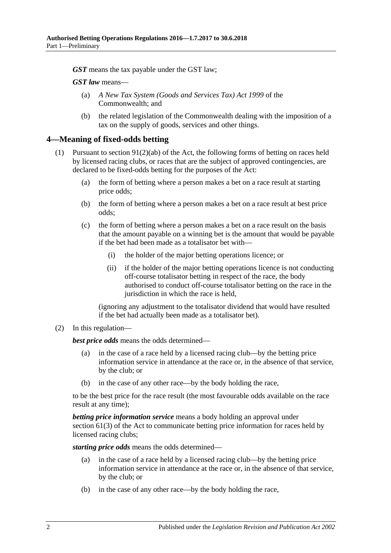*GST* means the tax payable under the GST law;

*GST law* means—

- (a) *A New Tax System (Goods and Services Tax) Act 1999* of the Commonwealth; and
- (b) the related legislation of the Commonwealth dealing with the imposition of a tax on the supply of goods, services and other things.

#### <span id="page-1-0"></span>**4—Meaning of fixed-odds betting**

- (1) Pursuant to section  $91(2)(ab)$  of the Act, the following forms of betting on races held by licensed racing clubs, or races that are the subject of approved contingencies, are declared to be fixed-odds betting for the purposes of the Act:
	- (a) the form of betting where a person makes a bet on a race result at starting price odds;
	- (b) the form of betting where a person makes a bet on a race result at best price odds;
	- (c) the form of betting where a person makes a bet on a race result on the basis that the amount payable on a winning bet is the amount that would be payable if the bet had been made as a totalisator bet with—
		- (i) the holder of the major betting operations licence; or
		- (ii) if the holder of the major betting operations licence is not conducting off-course totalisator betting in respect of the race, the body authorised to conduct off-course totalisator betting on the race in the jurisdiction in which the race is held,

(ignoring any adjustment to the totalisator dividend that would have resulted if the bet had actually been made as a totalisator bet).

#### (2) In this regulation—

*best price odds* means the odds determined—

- (a) in the case of a race held by a licensed racing club—by the betting price information service in attendance at the race or, in the absence of that service, by the club; or
- in the case of any other race—by the body holding the race,

to be the best price for the race result (the most favourable odds available on the race result at any time);

*betting price information service* means a body holding an approval under section 61(3) of the Act to communicate betting price information for races held by licensed racing clubs;

*starting price odds* means the odds determined—

- (a) in the case of a race held by a licensed racing club—by the betting price information service in attendance at the race or, in the absence of that service, by the club; or
- (b) in the case of any other race—by the body holding the race,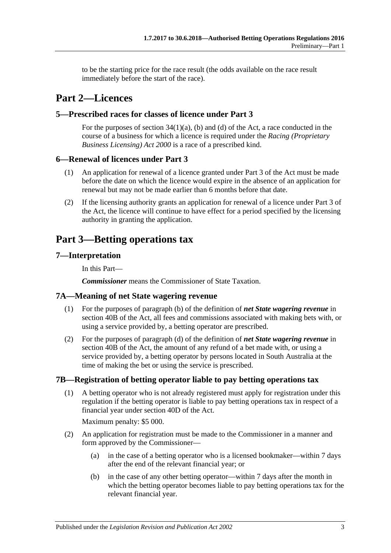to be the starting price for the race result (the odds available on the race result immediately before the start of the race).

## <span id="page-2-0"></span>**Part 2—Licences**

### <span id="page-2-1"></span>**5—Prescribed races for classes of licence under Part 3**

For the purposes of section  $34(1)(a)$ , (b) and (d) of the Act, a race conducted in the course of a business for which a licence is required under the *[Racing \(Proprietary](http://www.legislation.sa.gov.au/index.aspx?action=legref&type=act&legtitle=Racing%20(Proprietary%20Business%20Licensing)%20Act%202000)  [Business Licensing\) Act](http://www.legislation.sa.gov.au/index.aspx?action=legref&type=act&legtitle=Racing%20(Proprietary%20Business%20Licensing)%20Act%202000) 2000* is a race of a prescribed kind.

#### <span id="page-2-2"></span>**6—Renewal of licences under Part 3**

- (1) An application for renewal of a licence granted under Part 3 of the Act must be made before the date on which the licence would expire in the absence of an application for renewal but may not be made earlier than 6 months before that date.
- (2) If the licensing authority grants an application for renewal of a licence under Part 3 of the Act, the licence will continue to have effect for a period specified by the licensing authority in granting the application.

## <span id="page-2-3"></span>**Part 3—Betting operations tax**

### <span id="page-2-4"></span>**7—Interpretation**

In this Part—

*Commissioner* means the Commissioner of State Taxation.

#### <span id="page-2-5"></span>**7A—Meaning of net State wagering revenue**

- (1) For the purposes of paragraph (b) of the definition of *net State wagering revenue* in section 40B of the Act, all fees and commissions associated with making bets with, or using a service provided by, a betting operator are prescribed.
- (2) For the purposes of paragraph (d) of the definition of *net State wagering revenue* in section 40B of the Act, the amount of any refund of a bet made with, or using a service provided by, a betting operator by persons located in South Australia at the time of making the bet or using the service is prescribed.

#### <span id="page-2-7"></span><span id="page-2-6"></span>**7B—Registration of betting operator liable to pay betting operations tax**

(1) A betting operator who is not already registered must apply for registration under this regulation if the betting operator is liable to pay betting operations tax in respect of a financial year under section 40D of the Act.

Maximum penalty: \$5 000.

- (2) An application for registration must be made to the Commissioner in a manner and form approved by the Commissioner—
	- (a) in the case of a betting operator who is a licensed bookmaker—within 7 days after the end of the relevant financial year; or
	- (b) in the case of any other betting operator—within 7 days after the month in which the betting operator becomes liable to pay betting operations tax for the relevant financial year.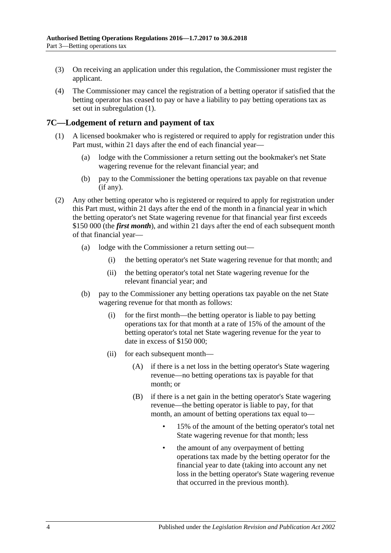- (3) On receiving an application under this regulation, the Commissioner must register the applicant.
- (4) The Commissioner may cancel the registration of a betting operator if satisfied that the betting operator has ceased to pay or have a liability to pay betting operations tax as set out in [subregulation](#page-2-7) (1).

### <span id="page-3-0"></span>**7C—Lodgement of return and payment of tax**

- (1) A licensed bookmaker who is registered or required to apply for registration under this Part must, within 21 days after the end of each financial year—
	- (a) lodge with the Commissioner a return setting out the bookmaker's net State wagering revenue for the relevant financial year; and
	- (b) pay to the Commissioner the betting operations tax payable on that revenue (if any).
- (2) Any other betting operator who is registered or required to apply for registration under this Part must, within 21 days after the end of the month in a financial year in which the betting operator's net State wagering revenue for that financial year first exceeds \$150 000 (the *first month*), and within 21 days after the end of each subsequent month of that financial year—
	- (a) lodge with the Commissioner a return setting out—
		- (i) the betting operator's net State wagering revenue for that month; and
		- (ii) the betting operator's total net State wagering revenue for the relevant financial year; and
	- (b) pay to the Commissioner any betting operations tax payable on the net State wagering revenue for that month as follows:
		- (i) for the first month—the betting operator is liable to pay betting operations tax for that month at a rate of 15% of the amount of the betting operator's total net State wagering revenue for the year to date in excess of \$150 000;
		- (ii) for each subsequent month—
			- (A) if there is a net loss in the betting operator's State wagering revenue—no betting operations tax is payable for that month; or
			- (B) if there is a net gain in the betting operator's State wagering revenue—the betting operator is liable to pay, for that month, an amount of betting operations tax equal to—
				- 15% of the amount of the betting operator's total net State wagering revenue for that month; less
				- the amount of any overpayment of betting operations tax made by the betting operator for the financial year to date (taking into account any net loss in the betting operator's State wagering revenue that occurred in the previous month).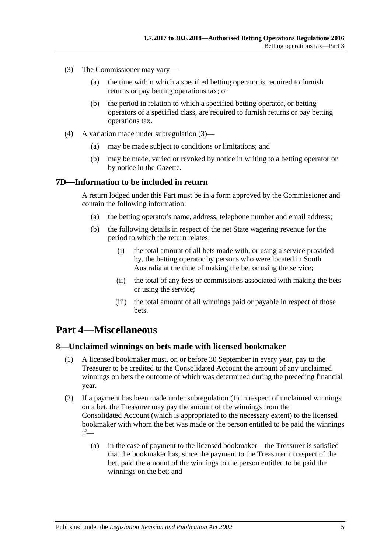- <span id="page-4-3"></span>(3) The Commissioner may vary—
	- (a) the time within which a specified betting operator is required to furnish returns or pay betting operations tax; or
	- (b) the period in relation to which a specified betting operator, or betting operators of a specified class, are required to furnish returns or pay betting operations tax.
- (4) A variation made under [subregulation](#page-4-3) (3)—
	- (a) may be made subject to conditions or limitations; and
	- (b) may be made, varied or revoked by notice in writing to a betting operator or by notice in the Gazette.

#### <span id="page-4-0"></span>**7D—Information to be included in return**

A return lodged under this Part must be in a form approved by the Commissioner and contain the following information:

- (a) the betting operator's name, address, telephone number and email address;
- (b) the following details in respect of the net State wagering revenue for the period to which the return relates:
	- (i) the total amount of all bets made with, or using a service provided by, the betting operator by persons who were located in South Australia at the time of making the bet or using the service;
	- (ii) the total of any fees or commissions associated with making the bets or using the service;
	- (iii) the total amount of all winnings paid or payable in respect of those bets.

## <span id="page-4-1"></span>**Part 4—Miscellaneous**

#### <span id="page-4-4"></span><span id="page-4-2"></span>**8—Unclaimed winnings on bets made with licensed bookmaker**

- (1) A licensed bookmaker must, on or before 30 September in every year, pay to the Treasurer to be credited to the Consolidated Account the amount of any unclaimed winnings on bets the outcome of which was determined during the preceding financial year.
- (2) If a payment has been made under [subregulation](#page-4-4) (1) in respect of unclaimed winnings on a bet, the Treasurer may pay the amount of the winnings from the Consolidated Account (which is appropriated to the necessary extent) to the licensed bookmaker with whom the bet was made or the person entitled to be paid the winnings if—
	- (a) in the case of payment to the licensed bookmaker—the Treasurer is satisfied that the bookmaker has, since the payment to the Treasurer in respect of the bet, paid the amount of the winnings to the person entitled to be paid the winnings on the bet; and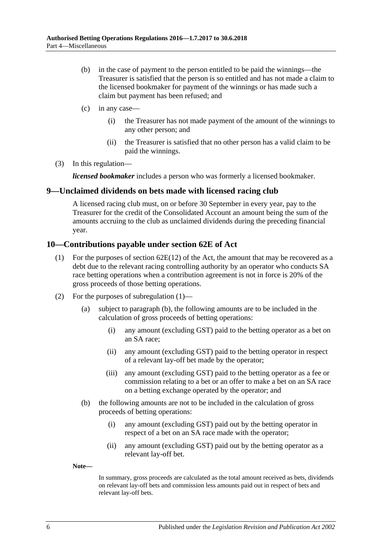- (b) in the case of payment to the person entitled to be paid the winnings—the Treasurer is satisfied that the person is so entitled and has not made a claim to the licensed bookmaker for payment of the winnings or has made such a claim but payment has been refused; and
- (c) in any case—
	- (i) the Treasurer has not made payment of the amount of the winnings to any other person; and
	- (ii) the Treasurer is satisfied that no other person has a valid claim to be paid the winnings.
- (3) In this regulation—

*licensed bookmaker* includes a person who was formerly a licensed bookmaker.

#### <span id="page-5-0"></span>**9—Unclaimed dividends on bets made with licensed racing club**

A licensed racing club must, on or before 30 September in every year, pay to the Treasurer for the credit of the Consolidated Account an amount being the sum of the amounts accruing to the club as unclaimed dividends during the preceding financial year.

#### <span id="page-5-2"></span><span id="page-5-1"></span>**10—Contributions payable under section 62E of Act**

- (1) For the purposes of section  $62E(12)$  of the Act, the amount that may be recovered as a debt due to the relevant racing controlling authority by an operator who conducts SA race betting operations when a contribution agreement is not in force is 20% of the gross proceeds of those betting operations.
- (2) For the purposes of [subregulation](#page-5-2) (1)—
	- (a) subject to [paragraph](#page-5-3) (b), the following amounts are to be included in the calculation of gross proceeds of betting operations:
		- (i) any amount (excluding GST) paid to the betting operator as a bet on an SA race;
		- (ii) any amount (excluding GST) paid to the betting operator in respect of a relevant lay-off bet made by the operator;
		- (iii) any amount (excluding GST) paid to the betting operator as a fee or commission relating to a bet or an offer to make a bet on an SA race on a betting exchange operated by the operator; and
	- (b) the following amounts are not to be included in the calculation of gross proceeds of betting operations:
		- (i) any amount (excluding GST) paid out by the betting operator in respect of a bet on an SA race made with the operator;
		- (ii) any amount (excluding GST) paid out by the betting operator as a relevant lay-off bet.

<span id="page-5-3"></span>**Note—**

In summary, gross proceeds are calculated as the total amount received as bets, dividends on relevant lay-off bets and commission less amounts paid out in respect of bets and relevant lay-off bets.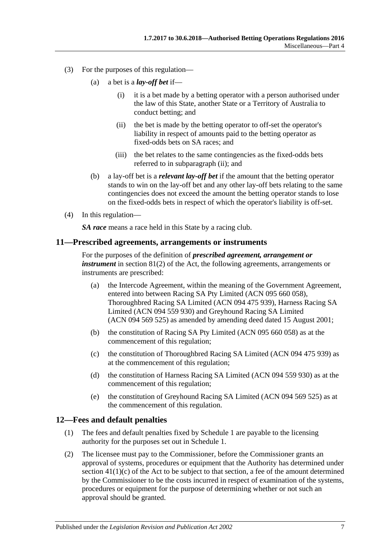- <span id="page-6-2"></span>(3) For the purposes of this regulation—
	- (a) a bet is a *lay-off bet* if—
		- (i) it is a bet made by a betting operator with a person authorised under the law of this State, another State or a Territory of Australia to conduct betting; and
		- (ii) the bet is made by the betting operator to off-set the operator's liability in respect of amounts paid to the betting operator as fixed-odds bets on SA races; and
		- (iii) the bet relates to the same contingencies as the fixed-odds bets referred to in [subparagraph](#page-6-2) (ii); and
	- (b) a lay-off bet is a *relevant lay-off bet* if the amount that the betting operator stands to win on the lay-off bet and any other lay-off bets relating to the same contingencies does not exceed the amount the betting operator stands to lose on the fixed-odds bets in respect of which the operator's liability is off-set.
- (4) In this regulation—

*SA race* means a race held in this State by a racing club.

#### <span id="page-6-0"></span>**11—Prescribed agreements, arrangements or instruments**

For the purposes of the definition of *prescribed agreement, arrangement or instrument* in section 81(2) of the Act, the following agreements, arrangements or instruments are prescribed:

- (a) the Intercode Agreement, within the meaning of the Government Agreement, entered into between Racing SA Pty Limited (ACN 095 660 058), Thoroughbred Racing SA Limited (ACN 094 475 939), Harness Racing SA Limited (ACN 094 559 930) and Greyhound Racing SA Limited (ACN 094 569 525) as amended by amending deed dated 15 August 2001;
- (b) the constitution of Racing SA Pty Limited (ACN 095 660 058) as at the commencement of this regulation;
- (c) the constitution of Thoroughbred Racing SA Limited (ACN 094 475 939) as at the commencement of this regulation;
- (d) the constitution of Harness Racing SA Limited (ACN 094 559 930) as at the commencement of this regulation;
- (e) the constitution of Greyhound Racing SA Limited (ACN 094 569 525) as at the commencement of this regulation.

#### <span id="page-6-1"></span>**12—Fees and default penalties**

- (1) The fees and default penalties fixed by Schedule 1 are payable to the licensing authority for the purposes set out in Schedule 1.
- <span id="page-6-3"></span>(2) The licensee must pay to the Commissioner, before the Commissioner grants an approval of systems, procedures or equipment that the Authority has determined under section  $41(1)(c)$  of the Act to be subject to that section, a fee of the amount determined by the Commissioner to be the costs incurred in respect of examination of the systems, procedures or equipment for the purpose of determining whether or not such an approval should be granted.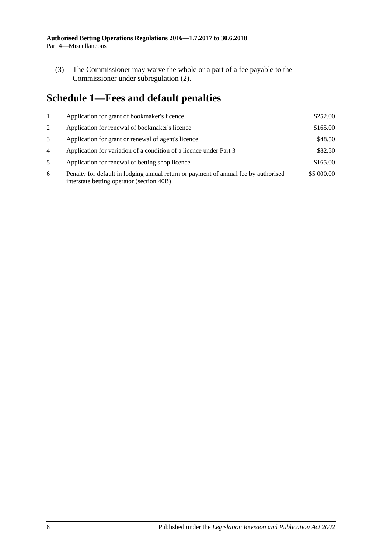(3) The Commissioner may waive the whole or a part of a fee payable to the Commissioner under [subregulation](#page-6-3) (2).

# <span id="page-7-0"></span>**Schedule 1—Fees and default penalties**

|                | Application for grant of bookmaker's licence                                                                                     | \$252.00   |
|----------------|----------------------------------------------------------------------------------------------------------------------------------|------------|
| 2              | Application for renewal of bookmaker's licence                                                                                   | \$165.00   |
| 3              | Application for grant or renewal of agent's licence                                                                              | \$48.50    |
| $\overline{4}$ | Application for variation of a condition of a licence under Part 3                                                               | \$82.50    |
| 5              | Application for renewal of betting shop licence                                                                                  | \$165.00   |
| 6              | Penalty for default in lodging annual return or payment of annual fee by authorised<br>interstate betting operator (section 40B) | \$5 000.00 |